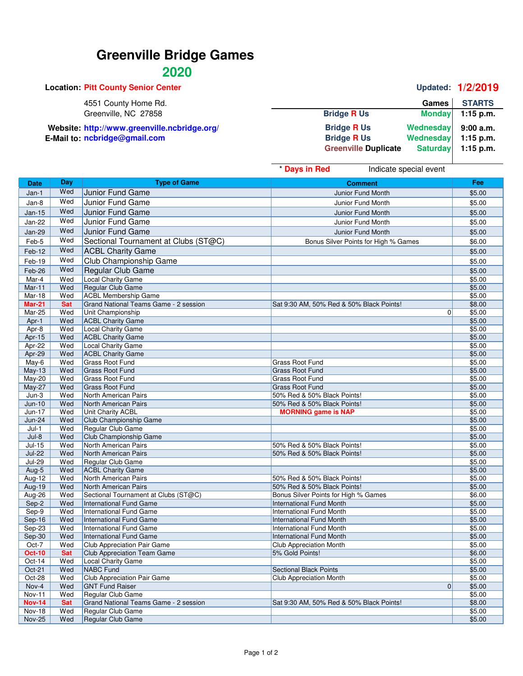# **Greenville Bridge Games**

## **2020**

|                             |              | Updated: 1/2/2019                                          |
|-----------------------------|--------------|------------------------------------------------------------|
|                             | <b>Games</b> | <b>STARTS</b>                                              |
| <b>Bridge R Us</b>          |              | $1:15$ p.m.                                                |
| <b>Bridge R Us</b>          |              | 9:00a.m.                                                   |
| <b>Bridge R Us</b>          |              | $1:15$ p.m.                                                |
| <b>Greenville Duplicate</b> |              | $1:15$ p.m.                                                |
|                             |              | <b>Monday</b><br>Wednesday<br>Wednesday<br><b>Saturday</b> |

|                |            |                                                                        | * Days in Red<br>Indicate special event                                 |                  |
|----------------|------------|------------------------------------------------------------------------|-------------------------------------------------------------------------|------------------|
| Date           | Day        | <b>Type of Game</b>                                                    | <b>Comment</b>                                                          | Fee              |
| Jan-1          | Wed        | Junior Fund Game                                                       | <b>Junior Fund Month</b>                                                | \$5.00           |
| Jan-8          | Wed        | Junior Fund Game                                                       | Junior Fund Month                                                       | \$5.00           |
|                | Wed        |                                                                        |                                                                         |                  |
| $Jan-15$       | Wed        | Junior Fund Game                                                       | <b>Junior Fund Month</b>                                                | \$5.00           |
| <b>Jan-22</b>  |            | Junior Fund Game                                                       | <b>Junior Fund Month</b>                                                | \$5.00           |
| Jan-29         | Wed        | Junior Fund Game                                                       | Junior Fund Month                                                       | \$5.00           |
| Feb-5          | Wed        | Sectional Tournament at Clubs (ST@C)                                   | Bonus Silver Points for High % Games                                    | \$6.00           |
| Feb-12         | Wed        | <b>ACBL Charity Game</b>                                               |                                                                         | \$5.00           |
| Feb-19         | Wed        | Club Championship Game                                                 |                                                                         | \$5.00           |
| Feb-26         | Wed        | Regular Club Game                                                      |                                                                         | \$5.00           |
| Mar-4          | Wed        | <b>Local Charity Game</b>                                              |                                                                         | \$5.00           |
| Mar-11         | Wed        | Regular Club Game                                                      |                                                                         | \$5.00           |
| Mar-18         | Wed        | <b>ACBL Membership Game</b>                                            |                                                                         | \$5.00           |
| <b>Mar-21</b>  | <b>Sat</b> | Grand National Teams Game - 2 session                                  | Sat 9:30 AM, 50% Red & 50% Black Points!                                | \$8.00           |
| Mar-25         | Wed        | Unit Championship                                                      | 0                                                                       | \$5.00           |
| Apr-1          | Wed        | <b>ACBL Charity Game</b>                                               |                                                                         | \$5.00           |
| Apr-8          | Wed        | Local Charity Game                                                     |                                                                         | \$5.00           |
| Apr-15         | Wed        | <b>ACBL Charity Game</b>                                               |                                                                         | \$5.00           |
| Apr-22         | Wed        | <b>Local Charity Game</b>                                              |                                                                         | \$5.00           |
| Apr-29         | Wed        | <b>ACBL Charity Game</b>                                               |                                                                         | \$5.00           |
| May-6          | Wed        | <b>Grass Root Fund</b>                                                 | <b>Grass Root Fund</b>                                                  | \$5.00           |
| $May-13$       | Wed        | <b>Grass Root Fund</b>                                                 | <b>Grass Root Fund</b>                                                  | \$5.00           |
| $May-20$       | Wed        | <b>Grass Root Fund</b>                                                 | <b>Grass Root Fund</b>                                                  | \$5.00           |
| <b>May-27</b>  | Wed        | Grass Root Fund                                                        | <b>Grass Root Fund</b>                                                  | \$5.00           |
| $Jun-3$        | Wed        | North American Pairs                                                   | 50% Red & 50% Black Points!                                             | \$5.00           |
| $Jun-10$       | Wed        | North American Pairs                                                   | 50% Red & 50% Black Points!                                             | \$5.00           |
| Jun-17         | Wed        | Unit Charity ACBL                                                      | <b>MORNING game is NAP</b>                                              | \$5.00           |
| <b>Jun-24</b>  | Wed        | Club Championship Game                                                 |                                                                         | \$5.00           |
| $Jul-1$        | Wed        | Regular Club Game                                                      |                                                                         | \$5.00           |
| $Jul-8$        | Wed        | Club Championship Game                                                 |                                                                         | \$5.00           |
| $Jul-15$       | Wed        | North American Pairs                                                   | 50% Red & 50% Black Points!                                             | \$5.00           |
| <b>Jul-22</b>  | Wed        | North American Pairs                                                   | 50% Red & 50% Black Points!                                             | \$5.00           |
| <b>Jul-29</b>  | Wed        | Regular Club Game                                                      |                                                                         | \$5.00           |
| Aug-5          | Wed        | <b>ACBL Charity Game</b>                                               |                                                                         | \$5.00           |
| Aug-12         | Wed        | North American Pairs                                                   | 50% Red & 50% Black Points!                                             | \$5.00           |
| Aug-19         | Wed        | North American Pairs                                                   | 50% Red & 50% Black Points!                                             | \$5.00           |
| Aug-26         | Wed<br>Wed | Sectional Tournament at Clubs (ST@C)<br><b>International Fund Game</b> | Bonus Silver Points for High % Games<br><b>International Fund Month</b> | \$6.00<br>\$5.00 |
| Sep-2<br>Sep-9 | Wed        | <b>International Fund Game</b>                                         | International Fund Month                                                | \$5.00           |
| Sep-16         | Wed        | <b>International Fund Game</b>                                         | <b>International Fund Month</b>                                         | \$5.00           |
| Sep-23         | Wed        | International Fund Game                                                | International Fund Month                                                | \$5.00           |
| Sep-30         | Wed        | <b>International Fund Game</b>                                         | <b>International Fund Month</b>                                         | \$5.00           |
| Oct-7          | Wed        | <b>Club Appreciation Pair Game</b>                                     | <b>Club Appreciation Month</b>                                          | \$5.00           |
| Oct-10         | <b>Sat</b> | Club Appreciation Team Game                                            | 5% Gold Points!                                                         | \$6.00           |
| Oct-14         | Wed        | Local Charity Game                                                     |                                                                         | \$5.00           |
| Oct-21         | Wed        | NABC Fund                                                              | <b>Sectional Black Points</b>                                           | \$5.00           |
| Oct-28         | Wed        | <b>Club Appreciation Pair Game</b>                                     | <b>Club Appreciation Month</b>                                          | \$5.00           |
| Nov-4          | Wed        | <b>GNT Fund Raiser</b>                                                 | 0                                                                       | \$5.00           |
| Nov-11         | Wed        | Regular Club Game                                                      |                                                                         | \$5.00           |
| <b>Nov-14</b>  | <b>Sat</b> | Grand National Teams Game - 2 session                                  | Sat 9:30 AM, 50% Red & 50% Black Points!                                | \$8.00           |
| <b>Nov-18</b>  | Wed        | Regular Club Game                                                      |                                                                         | \$5.00           |
| <b>Nov-25</b>  | Wed        | Regular Club Game                                                      |                                                                         | \$5.00           |